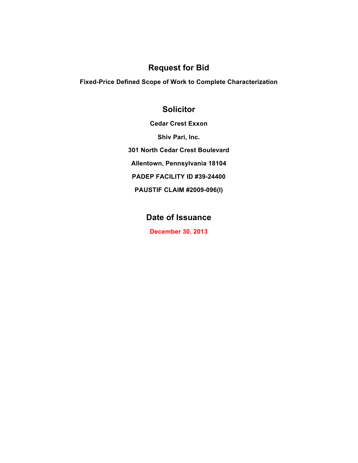### **Request for Bid**

**Fixed-Price Defined Scope of Work to Complete Characterization** 

## **Solicitor**

**Cedar Crest Exxon Shiv Pari, Inc. 301 North Cedar Crest Boulevard Allentown, Pennsylvania 18104 PADEP FACILITY ID #39-24400 PAUSTIF CLAIM #2009-096(I)**

# **Date of Issuance**

**December 30, 2013**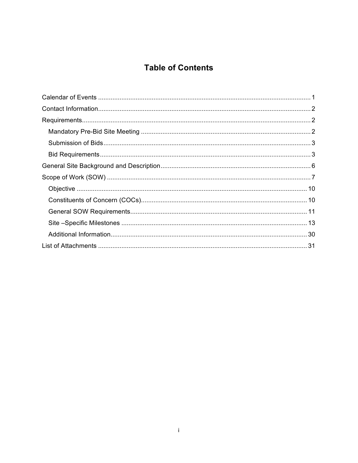# **Table of Contents**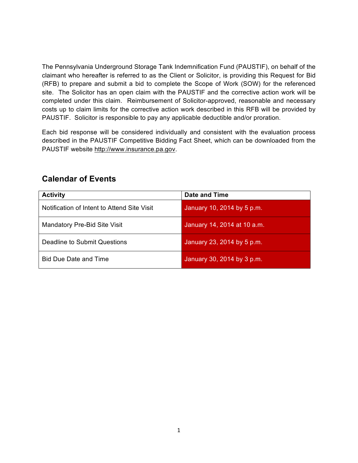The Pennsylvania Underground Storage Tank Indemnification Fund (PAUSTIF), on behalf of the claimant who hereafter is referred to as the Client or Solicitor, is providing this Request for Bid (RFB) to prepare and submit a bid to complete the Scope of Work (SOW) for the referenced site. The Solicitor has an open claim with the PAUSTIF and the corrective action work will be completed under this claim. Reimbursement of Solicitor-approved, reasonable and necessary costs up to claim limits for the corrective action work described in this RFB will be provided by PAUSTIF. Solicitor is responsible to pay any applicable deductible and/or proration.

Each bid response will be considered individually and consistent with the evaluation process described in the PAUSTIF Competitive Bidding Fact Sheet, which can be downloaded from the PAUSTIF website http://www.insurance.pa.gov.

| <b>Activity</b>                             | Date and Time               |
|---------------------------------------------|-----------------------------|
| Notification of Intent to Attend Site Visit | January 10, 2014 by 5 p.m.  |
| Mandatory Pre-Bid Site Visit                | January 14, 2014 at 10 a.m. |
| Deadline to Submit Questions                | January 23, 2014 by 5 p.m.  |
| <b>Bid Due Date and Time</b>                | January 30, 2014 by 3 p.m.  |

### **Calendar of Events**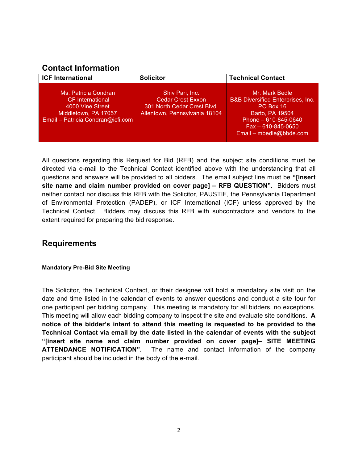## **Contact Information**

| <b>ICF International</b>                                                                                                          | <b>Solicitor</b>                                                                                            | <b>Technical Contact</b>                                                                                                                                                       |
|-----------------------------------------------------------------------------------------------------------------------------------|-------------------------------------------------------------------------------------------------------------|--------------------------------------------------------------------------------------------------------------------------------------------------------------------------------|
| Ms. Patricia Condran<br><b>ICF International</b><br>4000 Vine Street<br>Middletown, PA 17057<br>Email - Patricia.Condran@icfi.com | Shiv Pari, Inc.<br><b>Cedar Crest Exxon</b><br>301 North Cedar Crest Blvd.<br>Allentown, Pennsylvania 18104 | Mr. Mark Bedle<br><b>B&amp;B Diversified Enterprises, Inc.</b><br>PO Box 16<br>Barto, PA 19504<br>Phone $-610-845-0640$<br>$Fax - 610 - 845 - 0650$<br>Email - mbedle@bbde.com |

All questions regarding this Request for Bid (RFB) and the subject site conditions must be directed via e-mail to the Technical Contact identified above with the understanding that all questions and answers will be provided to all bidders. The email subject line must be **"[insert site name and claim number provided on cover page] – RFB QUESTION".** Bidders must neither contact nor discuss this RFB with the Solicitor, PAUSTIF, the Pennsylvania Department of Environmental Protection (PADEP), or ICF International (ICF) unless approved by the Technical Contact. Bidders may discuss this RFB with subcontractors and vendors to the extent required for preparing the bid response.

## **Requirements**

### **Mandatory Pre-Bid Site Meeting**

The Solicitor, the Technical Contact, or their designee will hold a mandatory site visit on the date and time listed in the calendar of events to answer questions and conduct a site tour for one participant per bidding company. This meeting is mandatory for all bidders, no exceptions. This meeting will allow each bidding company to inspect the site and evaluate site conditions. **A notice of the bidder's intent to attend this meeting is requested to be provided to the Technical Contact via email by the date listed in the calendar of events with the subject "[insert site name and claim number provided on cover page]– SITE MEETING ATTENDANCE NOTIFICATION".** The name and contact information of the company participant should be included in the body of the e-mail.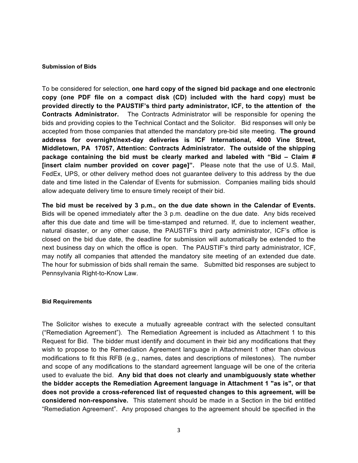#### **Submission of Bids**

To be considered for selection, **one hard copy of the signed bid package and one electronic copy (one PDF file on a compact disk (CD) included with the hard copy) must be provided directly to the PAUSTIF's third party administrator, ICF, to the attention of the Contracts Administrator.** The Contracts Administrator will be responsible for opening the bids and providing copies to the Technical Contact and the Solicitor. Bid responses will only be accepted from those companies that attended the mandatory pre-bid site meeting. **The ground address for overnight/next-day deliveries is ICF International, 4000 Vine Street, Middletown, PA 17057, Attention: Contracts Administrator. The outside of the shipping package containing the bid must be clearly marked and labeled with "Bid – Claim # [insert claim number provided on cover page]".** Please note that the use of U.S. Mail, FedEx, UPS, or other delivery method does not guarantee delivery to this address by the due date and time listed in the Calendar of Events for submission. Companies mailing bids should allow adequate delivery time to ensure timely receipt of their bid.

**The bid must be received by 3 p.m., on the due date shown in the Calendar of Events.** Bids will be opened immediately after the 3 p.m. deadline on the due date. Any bids received after this due date and time will be time-stamped and returned. If, due to inclement weather, natural disaster, or any other cause, the PAUSTIF's third party administrator, ICF's office is closed on the bid due date, the deadline for submission will automatically be extended to the next business day on which the office is open. The PAUSTIF's third party administrator, ICF, may notify all companies that attended the mandatory site meeting of an extended due date. The hour for submission of bids shall remain the same. Submitted bid responses are subject to Pennsylvania Right-to-Know Law.

#### **Bid Requirements**

The Solicitor wishes to execute a mutually agreeable contract with the selected consultant ("Remediation Agreement"). The Remediation Agreement is included as Attachment 1 to this Request for Bid. The bidder must identify and document in their bid any modifications that they wish to propose to the Remediation Agreement language in Attachment 1 other than obvious modifications to fit this RFB (e.g., names, dates and descriptions of milestones). The number and scope of any modifications to the standard agreement language will be one of the criteria used to evaluate the bid. **Any bid that does not clearly and unambiguously state whether the bidder accepts the Remediation Agreement language in Attachment 1 "as is", or that does not provide a cross-referenced list of requested changes to this agreement, will be considered non-responsive.** This statement should be made in a Section in the bid entitled "Remediation Agreement". Any proposed changes to the agreement should be specified in the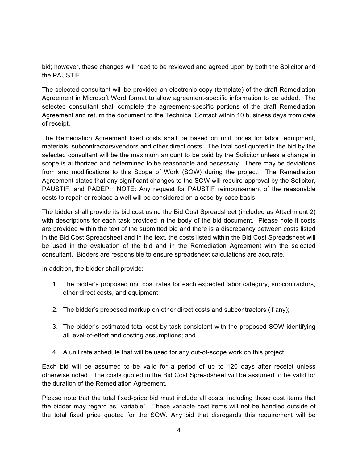bid; however, these changes will need to be reviewed and agreed upon by both the Solicitor and the PAUSTIF.

The selected consultant will be provided an electronic copy (template) of the draft Remediation Agreement in Microsoft Word format to allow agreement-specific information to be added. The selected consultant shall complete the agreement-specific portions of the draft Remediation Agreement and return the document to the Technical Contact within 10 business days from date of receipt.

The Remediation Agreement fixed costs shall be based on unit prices for labor, equipment, materials, subcontractors/vendors and other direct costs. The total cost quoted in the bid by the selected consultant will be the maximum amount to be paid by the Solicitor unless a change in scope is authorized and determined to be reasonable and necessary. There may be deviations from and modifications to this Scope of Work (SOW) during the project. The Remediation Agreement states that any significant changes to the SOW will require approval by the Solicitor, PAUSTIF, and PADEP. NOTE: Any request for PAUSTIF reimbursement of the reasonable costs to repair or replace a well will be considered on a case-by-case basis.

The bidder shall provide its bid cost using the Bid Cost Spreadsheet (included as Attachment 2) with descriptions for each task provided in the body of the bid document. Please note if costs are provided within the text of the submitted bid and there is a discrepancy between costs listed in the Bid Cost Spreadsheet and in the text, the costs listed within the Bid Cost Spreadsheet will be used in the evaluation of the bid and in the Remediation Agreement with the selected consultant. Bidders are responsible to ensure spreadsheet calculations are accurate.

In addition, the bidder shall provide:

- 1. The bidder's proposed unit cost rates for each expected labor category, subcontractors, other direct costs, and equipment;
- 2. The bidder's proposed markup on other direct costs and subcontractors (if any);
- 3. The bidder's estimated total cost by task consistent with the proposed SOW identifying all level-of-effort and costing assumptions; and
- 4. A unit rate schedule that will be used for any out-of-scope work on this project.

Each bid will be assumed to be valid for a period of up to 120 days after receipt unless otherwise noted. The costs quoted in the Bid Cost Spreadsheet will be assumed to be valid for the duration of the Remediation Agreement.

Please note that the total fixed-price bid must include all costs, including those cost items that the bidder may regard as "variable". These variable cost items will not be handled outside of the total fixed price quoted for the SOW. Any bid that disregards this requirement will be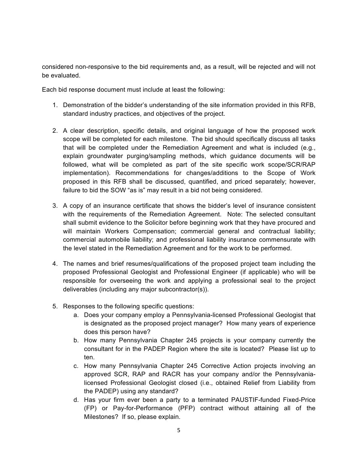considered non-responsive to the bid requirements and, as a result, will be rejected and will not be evaluated.

Each bid response document must include at least the following:

- 1. Demonstration of the bidder's understanding of the site information provided in this RFB, standard industry practices, and objectives of the project.
- 2. A clear description, specific details, and original language of how the proposed work scope will be completed for each milestone. The bid should specifically discuss all tasks that will be completed under the Remediation Agreement and what is included (e.g., explain groundwater purging/sampling methods, which guidance documents will be followed, what will be completed as part of the site specific work scope/SCR/RAP implementation). Recommendations for changes/additions to the Scope of Work proposed in this RFB shall be discussed, quantified, and priced separately; however, failure to bid the SOW "as is" may result in a bid not being considered.
- 3. A copy of an insurance certificate that shows the bidder's level of insurance consistent with the requirements of the Remediation Agreement. Note: The selected consultant shall submit evidence to the Solicitor before beginning work that they have procured and will maintain Workers Compensation; commercial general and contractual liability; commercial automobile liability; and professional liability insurance commensurate with the level stated in the Remediation Agreement and for the work to be performed.
- 4. The names and brief resumes/qualifications of the proposed project team including the proposed Professional Geologist and Professional Engineer (if applicable) who will be responsible for overseeing the work and applying a professional seal to the project deliverables (including any major subcontractor(s)).
- 5. Responses to the following specific questions:
	- a. Does your company employ a Pennsylvania-licensed Professional Geologist that is designated as the proposed project manager? How many years of experience does this person have?
	- b. How many Pennsylvania Chapter 245 projects is your company currently the consultant for in the PADEP Region where the site is located? Please list up to ten.
	- c. How many Pennsylvania Chapter 245 Corrective Action projects involving an approved SCR, RAP and RACR has your company and/or the Pennsylvanialicensed Professional Geologist closed (i.e., obtained Relief from Liability from the PADEP) using any standard?
	- d. Has your firm ever been a party to a terminated PAUSTIF-funded Fixed-Price (FP) or Pay-for-Performance (PFP) contract without attaining all of the Milestones? If so, please explain.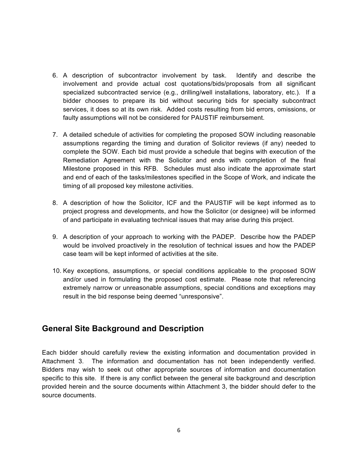- 6. A description of subcontractor involvement by task. Identify and describe the involvement and provide actual cost quotations/bids/proposals from all significant specialized subcontracted service (e.g., drilling/well installations, laboratory, etc.). If a bidder chooses to prepare its bid without securing bids for specialty subcontract services, it does so at its own risk. Added costs resulting from bid errors, omissions, or faulty assumptions will not be considered for PAUSTIF reimbursement.
- 7. A detailed schedule of activities for completing the proposed SOW including reasonable assumptions regarding the timing and duration of Solicitor reviews (if any) needed to complete the SOW. Each bid must provide a schedule that begins with execution of the Remediation Agreement with the Solicitor and ends with completion of the final Milestone proposed in this RFB. Schedules must also indicate the approximate start and end of each of the tasks/milestones specified in the Scope of Work, and indicate the timing of all proposed key milestone activities.
- 8. A description of how the Solicitor, ICF and the PAUSTIF will be kept informed as to project progress and developments, and how the Solicitor (or designee) will be informed of and participate in evaluating technical issues that may arise during this project.
- 9. A description of your approach to working with the PADEP. Describe how the PADEP would be involved proactively in the resolution of technical issues and how the PADEP case team will be kept informed of activities at the site.
- 10. Key exceptions, assumptions, or special conditions applicable to the proposed SOW and/or used in formulating the proposed cost estimate. Please note that referencing extremely narrow or unreasonable assumptions, special conditions and exceptions may result in the bid response being deemed "unresponsive".

### **General Site Background and Description**

Each bidder should carefully review the existing information and documentation provided in Attachment 3. The information and documentation has not been independently verified. Bidders may wish to seek out other appropriate sources of information and documentation specific to this site. If there is any conflict between the general site background and description provided herein and the source documents within Attachment 3, the bidder should defer to the source documents.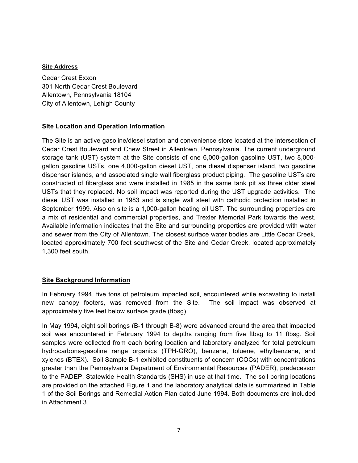#### **Site Address**

Cedar Crest Exxon 301 North Cedar Crest Boulevard Allentown, Pennsylvania 18104 City of Allentown, Lehigh County

### **Site Location and Operation Information**

The Site is an active gasoline/diesel station and convenience store located at the intersection of Cedar Crest Boulevard and Chew Street in Allentown, Pennsylvania. The current underground storage tank (UST) system at the Site consists of one 6,000-gallon gasoline UST, two 8,000 gallon gasoline USTs, one 4,000-gallon diesel UST, one diesel dispenser island, two gasoline dispenser islands, and associated single wall fiberglass product piping. The gasoline USTs are constructed of fiberglass and were installed in 1985 in the same tank pit as three older steel USTs that they replaced. No soil impact was reported during the UST upgrade activities. The diesel UST was installed in 1983 and is single wall steel with cathodic protection installed in September 1999. Also on site is a 1,000-gallon heating oil UST. The surrounding properties are a mix of residential and commercial properties, and Trexler Memorial Park towards the west. Available information indicates that the Site and surrounding properties are provided with water and sewer from the City of Allentown. The closest surface water bodies are Little Cedar Creek, located approximately 700 feet southwest of the Site and Cedar Creek, located approximately 1,300 feet south.

### **Site Background Information**

In February 1994, five tons of petroleum impacted soil, encountered while excavating to install new canopy footers, was removed from the Site. The soil impact was observed at approximately five feet below surface grade (ftbsg).

In May 1994, eight soil borings (B-1 through B-8) were advanced around the area that impacted soil was encountered in February 1994 to depths ranging from five ftbsg to 11 ftbsg. Soil samples were collected from each boring location and laboratory analyzed for total petroleum hydrocarbons-gasoline range organics (TPH-GRO), benzene, toluene, ethylbenzene, and xylenes (BTEX). Soil Sample B-1 exhibited constituents of concern (COCs) with concentrations greater than the Pennsylvania Department of Environmental Resources (PADER), predecessor to the PADEP, Statewide Health Standards (SHS) in use at that time. The soil boring locations are provided on the attached Figure 1 and the laboratory analytical data is summarized in Table 1 of the Soil Borings and Remedial Action Plan dated June 1994. Both documents are included in Attachment 3.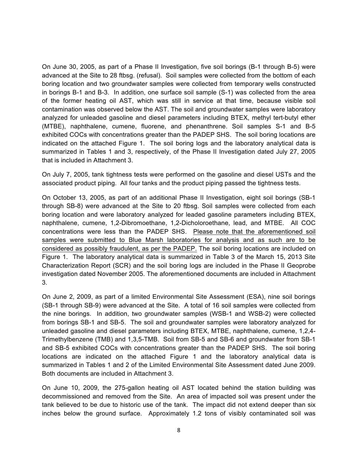On June 30, 2005, as part of a Phase II Investigation, five soil borings (B-1 through B-5) were advanced at the Site to 28 ftbsg. (refusal). Soil samples were collected from the bottom of each boring location and two groundwater samples were collected from temporary wells constructed in borings B-1 and B-3. In addition, one surface soil sample (S-1) was collected from the area of the former heating oil AST, which was still in service at that time, because visible soil contamination was observed below the AST. The soil and groundwater samples were laboratory analyzed for unleaded gasoline and diesel parameters including BTEX, methyl tert-butyl ether (MTBE), naphthalene, cumene, fluorene, and phenanthrene. Soil samples S-1 and B-5 exhibited COCs with concentrations greater than the PADEP SHS. The soil boring locations are indicated on the attached Figure 1. The soil boring logs and the laboratory analytical data is summarized in Tables 1 and 3, respectively, of the Phase II Investigation dated July 27, 2005 that is included in Attachment 3.

On July 7, 2005, tank tightness tests were performed on the gasoline and diesel USTs and the associated product piping. All four tanks and the product piping passed the tightness tests.

On October 13, 2005, as part of an additional Phase II Investigation, eight soil borings (SB-1 through SB-8) were advanced at the Site to 20 ftbsg. Soil samples were collected from each boring location and were laboratory analyzed for leaded gasoline parameters including BTEX, naphthalene, cumene, 1,2-Dibromoethane, 1,2-Dicholoroethane, lead, and MTBE. All COC concentrations were less than the PADEP SHS. Please note that the aforementioned soil samples were submitted to Blue Marsh laboratories for analysis and as such are to be considered as possibly fraudulent, as per the PADEP. The soil boring locations are included on Figure 1. The laboratory analytical data is summarized in Table 3 of the March 15, 2013 Site Characterization Report (SCR) and the soil boring logs are included in the Phase II Geoprobe investigation dated November 2005. The aforementioned documents are included in Attachment 3.

On June 2, 2009, as part of a limited Environmental Site Assessment (ESA), nine soil borings (SB-1 through SB-9) were advanced at the Site. A total of 16 soil samples were collected from the nine borings. In addition, two groundwater samples (WSB-1 and WSB-2) were collected from borings SB-1 and SB-5. The soil and groundwater samples were laboratory analyzed for unleaded gasoline and diesel parameters including BTEX, MTBE, naphthalene, cumene, 1,2,4- Trimethylbenzene (TMB) and 1,3,5-TMB. Soil from SB-5 and SB-6 and groundwater from SB-1 and SB-5 exhibited COCs with concentrations greater than the PADEP SHS. The soil boring locations are indicated on the attached Figure 1 and the laboratory analytical data is summarized in Tables 1 and 2 of the Limited Environmental Site Assessment dated June 2009. Both documents are included in Attachment 3.

On June 10, 2009, the 275-gallon heating oil AST located behind the station building was decommissioned and removed from the Site. An area of impacted soil was present under the tank believed to be due to historic use of the tank. The impact did not extend deeper than six inches below the ground surface. Approximately 1.2 tons of visibly contaminated soil was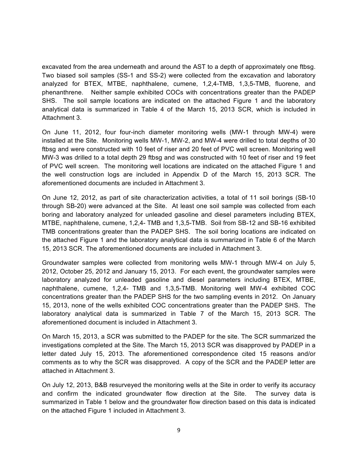excavated from the area underneath and around the AST to a depth of approximately one ftbsg. Two biased soil samples (SS-1 and SS-2) were collected from the excavation and laboratory analyzed for BTEX, MTBE, naphthalene, cumene, 1,2,4-TMB, 1,3,5-TMB, fluorene, and phenanthrene. Neither sample exhibited COCs with concentrations greater than the PADEP SHS. The soil sample locations are indicated on the attached Figure 1 and the laboratory analytical data is summarized in Table 4 of the March 15, 2013 SCR, which is included in Attachment 3.

On June 11, 2012, four four-inch diameter monitoring wells (MW-1 through MW-4) were installed at the Site. Monitoring wells MW-1, MW-2, and MW-4 were drilled to total depths of 30 ftbsg and were constructed with 10 feet of riser and 20 feet of PVC well screen. Monitoring well MW-3 was drilled to a total depth 29 ftbsg and was constructed with 10 feet of riser and 19 feet of PVC well screen. The monitoring well locations are indicated on the attached Figure 1 and the well construction logs are included in Appendix D of the March 15, 2013 SCR. The aforementioned documents are included in Attachment 3.

On June 12, 2012, as part of site characterization activities, a total of 11 soil borings (SB-10 through SB-20) were advanced at the Site. At least one soil sample was collected from each boring and laboratory analyzed for unleaded gasoline and diesel parameters including BTEX, MTBE, naphthalene, cumene, 1,2,4- TMB and 1,3,5-TMB. Soil from SB-12 and SB-16 exhibited TMB concentrations greater than the PADEP SHS. The soil boring locations are indicated on the attached Figure 1 and the laboratory analytical data is summarized in Table 6 of the March 15, 2013 SCR. The aforementioned documents are included in Attachment 3.

Groundwater samples were collected from monitoring wells MW-1 through MW-4 on July 5, 2012, October 25, 2012 and January 15, 2013. For each event, the groundwater samples were laboratory analyzed for unleaded gasoline and diesel parameters including BTEX, MTBE, naphthalene, cumene, 1,2,4- TMB and 1,3,5-TMB. Monitoring well MW-4 exhibited COC concentrations greater than the PADEP SHS for the two sampling events in 2012. On January 15, 2013, none of the wells exhibited COC concentrations greater than the PADEP SHS. The laboratory analytical data is summarized in Table 7 of the March 15, 2013 SCR. The aforementioned document is included in Attachment 3.

On March 15, 2013, a SCR was submitted to the PADEP for the site. The SCR summarized the investigations completed at the Site. The March 15, 2013 SCR was disapproved by PADEP in a letter dated July 15, 2013. The aforementioned correspondence cited 15 reasons and/or comments as to why the SCR was disapproved. A copy of the SCR and the PADEP letter are attached in Attachment 3.

On July 12, 2013, B&B resurveyed the monitoring wells at the Site in order to verify its accuracy and confirm the indicated groundwater flow direction at the Site. The survey data is summarized in Table 1 below and the groundwater flow direction based on this data is indicated on the attached Figure 1 included in Attachment 3.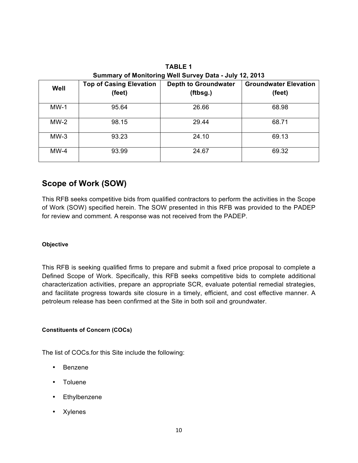| Well   | <b>Top of Casing Elevation</b><br>(feet) | <b>Depth to Groundwater</b><br>(ftbsg.) | <b>Groundwater Elevation</b><br>(feet) |
|--------|------------------------------------------|-----------------------------------------|----------------------------------------|
| $MW-1$ | 95.64                                    | 26.66                                   | 68.98                                  |
| $MW-2$ | 98.15                                    | 29.44                                   | 68.71                                  |
| $MW-3$ | 93.23                                    | 24.10                                   | 69.13                                  |
| $MW-4$ | 93.99                                    | 24.67                                   | 69.32                                  |

**TABLE 1 Summary of Monitoring Well Survey Data - July 12, 2013**

## **Scope of Work (SOW)**

This RFB seeks competitive bids from qualified contractors to perform the activities in the Scope of Work (SOW) specified herein. The SOW presented in this RFB was provided to the PADEP for review and comment. A response was not received from the PADEP.

### **Objective**

This RFB is seeking qualified firms to prepare and submit a fixed price proposal to complete a Defined Scope of Work. Specifically, this RFB seeks competitive bids to complete additional characterization activities, prepare an appropriate SCR, evaluate potential remedial strategies, and facilitate progress towards site closure in a timely, efficient, and cost effective manner. A petroleum release has been confirmed at the Site in both soil and groundwater.

### **Constituents of Concern (COCs)**

The list of COCs.for this Site include the following:

- Benzene
- Toluene
- Ethylbenzene
- Xylenes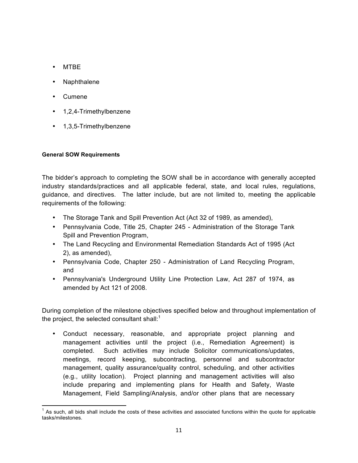- MTBE
- Naphthalene
- Cumene
- 1,2,4-Trimethylbenzene
- 1,3,5-Trimethylbenzene

### **General SOW Requirements**

The bidder's approach to completing the SOW shall be in accordance with generally accepted industry standards/practices and all applicable federal, state, and local rules, regulations, guidance, and directives. The latter include, but are not limited to, meeting the applicable requirements of the following:

- The Storage Tank and Spill Prevention Act (Act 32 of 1989, as amended),
- Pennsylvania Code, Title 25, Chapter 245 Administration of the Storage Tank Spill and Prevention Program,
- The Land Recycling and Environmental Remediation Standards Act of 1995 (Act 2), as amended),
- Pennsylvania Code, Chapter 250 Administration of Land Recycling Program, and
- Pennsylvania's Underground Utility Line Protection Law, Act 287 of 1974, as amended by Act 121 of 2008.

During completion of the milestone objectives specified below and throughout implementation of the project, the selected consultant shall: $<sup>1</sup>$ </sup>

• Conduct necessary, reasonable, and appropriate project planning and management activities until the project (i.e., Remediation Agreement) is completed. Such activities may include Solicitor communications/updates, meetings, record keeping, subcontracting, personnel and subcontractor management, quality assurance/quality control, scheduling, and other activities (e.g., utility location). Project planning and management activities will also include preparing and implementing plans for Health and Safety, Waste Management, Field Sampling/Analysis, and/or other plans that are necessary

 $<sup>1</sup>$  As such, all bids shall include the costs of these activities and associated functions within the quote for applicable</sup> tasks/milestones.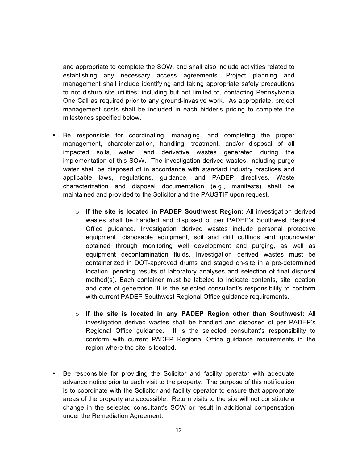and appropriate to complete the SOW, and shall also include activities related to establishing any necessary access agreements. Project planning and management shall include identifying and taking appropriate safety precautions to not disturb site utilities; including but not limited to, contacting Pennsylvania One Call as required prior to any ground-invasive work. As appropriate, project management costs shall be included in each bidder's pricing to complete the milestones specified below.

- Be responsible for coordinating, managing, and completing the proper management, characterization, handling, treatment, and/or disposal of all impacted soils, water, and derivative wastes generated during the implementation of this SOW. The investigation-derived wastes, including purge water shall be disposed of in accordance with standard industry practices and applicable laws, regulations, guidance, and PADEP directives. Waste characterization and disposal documentation (e.g., manifests) shall be maintained and provided to the Solicitor and the PAUSTIF upon request.
	- o **If the site is located in PADEP Southwest Region:** All investigation derived wastes shall be handled and disposed of per PADEP's Southwest Regional Office guidance. Investigation derived wastes include personal protective equipment, disposable equipment, soil and drill cuttings and groundwater obtained through monitoring well development and purging, as well as equipment decontamination fluids. Investigation derived wastes must be containerized in DOT-approved drums and staged on-site in a pre-determined location, pending results of laboratory analyses and selection of final disposal method(s). Each container must be labeled to indicate contents, site location and date of generation. It is the selected consultant's responsibility to conform with current PADEP Southwest Regional Office guidance requirements.
	- o **If the site is located in any PADEP Region other than Southwest:** All investigation derived wastes shall be handled and disposed of per PADEP's Regional Office guidance. It is the selected consultant's responsibility to conform with current PADEP Regional Office guidance requirements in the region where the site is located.
- Be responsible for providing the Solicitor and facility operator with adequate advance notice prior to each visit to the property. The purpose of this notification is to coordinate with the Solicitor and facility operator to ensure that appropriate areas of the property are accessible. Return visits to the site will not constitute a change in the selected consultant's SOW or result in additional compensation under the Remediation Agreement.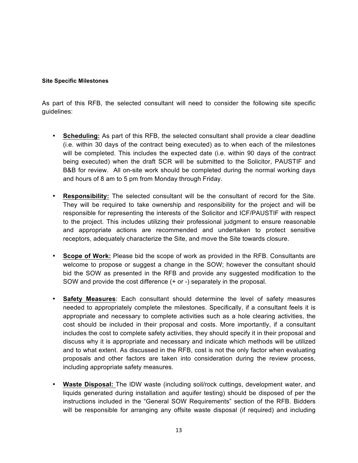#### **Site Specific Milestones**

As part of this RFB, the selected consultant will need to consider the following site specific guidelines:

- **Scheduling:** As part of this RFB, the selected consultant shall provide a clear deadline (i.e. within 30 days of the contract being executed) as to when each of the milestones will be completed. This includes the expected date (i.e. within 90 days of the contract being executed) when the draft SCR will be submitted to the Solicitor, PAUSTIF and B&B for review. All on-site work should be completed during the normal working days and hours of 8 am to 5 pm from Monday through Friday.
- **Responsibility:** The selected consultant will be the consultant of record for the Site. They will be required to take ownership and responsibility for the project and will be responsible for representing the interests of the Solicitor and ICF/PAUSTIF with respect to the project. This includes utilizing their professional judgment to ensure reasonable and appropriate actions are recommended and undertaken to protect sensitive receptors, adequately characterize the Site, and move the Site towards closure.
- **Scope of Work:** Please bid the scope of work as provided in the RFB. Consultants are welcome to propose or suggest a change in the SOW; however the consultant should bid the SOW as presented in the RFB and provide any suggested modification to the SOW and provide the cost difference (+ or -) separately in the proposal.
- **Safety Measures**: Each consultant should determine the level of safety measures needed to appropriately complete the milestones. Specifically, if a consultant feels it is appropriate and necessary to complete activities such as a hole clearing activities, the cost should be included in their proposal and costs. More importantly, if a consultant includes the cost to complete safety activities, they should specify it in their proposal and discuss why it is appropriate and necessary and indicate which methods will be utilized and to what extent. As discussed in the RFB, cost is not the only factor when evaluating proposals and other factors are taken into consideration during the review process, including appropriate safety measures.
- **Waste Disposal:** The IDW waste (including soil/rock cuttings, development water, and liquids generated during installation and aquifer testing) should be disposed of per the instructions included in the "General SOW Requirements" section of the RFB. Bidders will be responsible for arranging any offsite waste disposal (if required) and including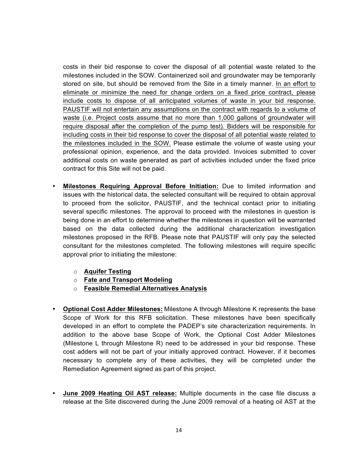costs in their bid response to cover the disposal of all potential waste related to the milestones included in the SOW. Containerized soil and groundwater may be temporarily stored on site, but should be removed from the Site in a timely manner. In an effort to eliminate or minimize the need for change orders on a fixed price contract, please include costs to dispose of all anticipated volumes of waste in your bid response. PAUSTIF will not entertain any assumptions on the contract with regards to a volume of waste (i.e. Project costs assume that no more than 1,000 gallons of groundwater will require disposal after the completion of the pump test). Bidders will be responsible for including costs in their bid response to cover the disposal of all potential waste related to the milestones included in the SOW. Please estimate the volume of waste using your professional opinion, experience, and the data provided. Invoices submitted to cover additional costs on waste generated as part of activities included under the fixed price contract for this Site will not be paid.

- **Milestones Requiring Approval Before Initiation:** Due to limited information and issues with the historical data, the selected consultant will be required to obtain approval to proceed from the solicitor, PAUSTIF, and the technical contact prior to initiating several specific milestones. The approval to proceed with the milestones in question is being done in an effort to determine whether the milestones in question will be warranted based on the data collected during the additional characterization investigation milestones proposed in the RFB. Please note that PAUSTIF will only pay the selected consultant for the milestones completed. The following milestones will require specific approval prior to initiating the milestone:
	- o **Aquifer Testing**
	- o **Fate and Transport Modeling**
	- o **Feasible Remedial Alternatives Analysis**
- **Optional Cost Adder Milestones:** Milestone A through Milestone K represents the base Scope of Work for this RFB solicitation. These milestones have been specifically developed in an effort to complete the PADEP's site characterization requirements. In addition to the above base Scope of Work, the Optional Cost Adder Milestones (Milestone L through Milestone R) need to be addressed in your bid response. These cost adders will not be part of your initially approved contract. However, if it becomes necessary to complete any of these activities, they will be completed under the Remediation Agreement signed as part of this project.
- **June 2009 Heating Oil AST release:** Multiple documents in the case file discuss a release at the Site discovered during the June 2009 removal of a heating oil AST at the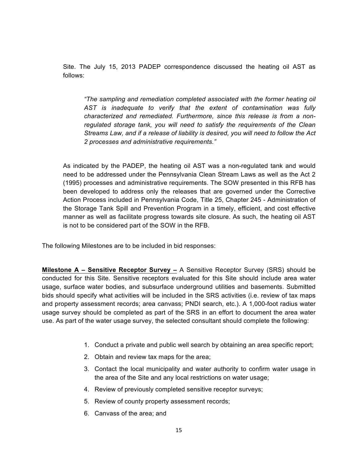Site. The July 15, 2013 PADEP correspondence discussed the heating oil AST as follows:

*"The sampling and remediation completed associated with the former heating oil AST is inadequate to verify that the extent of contamination was fully characterized and remediated. Furthermore, since this release is from a nonregulated storage tank, you will need to satisfy the requirements of the Clean Streams Law, and if a release of liability is desired, you will need to follow the Act 2 processes and administrative requirements."*

As indicated by the PADEP, the heating oil AST was a non-regulated tank and would need to be addressed under the Pennsylvania Clean Stream Laws as well as the Act 2 (1995) processes and administrative requirements. The SOW presented in this RFB has been developed to address only the releases that are governed under the Corrective Action Process included in Pennsylvania Code, Title 25, Chapter 245 - Administration of the Storage Tank Spill and Prevention Program in a timely, efficient, and cost effective manner as well as facilitate progress towards site closure. As such, the heating oil AST is not to be considered part of the SOW in the RFB.

The following Milestones are to be included in bid responses:

**Milestone A – Sensitive Receptor Survey –** A Sensitive Receptor Survey (SRS) should be conducted for this Site. Sensitive receptors evaluated for this Site should include area water usage, surface water bodies, and subsurface underground utilities and basements. Submitted bids should specify what activities will be included in the SRS activities (i.e. review of tax maps and property assessment records; area canvass; PNDI search, etc.). A 1,000-foot radius water usage survey should be completed as part of the SRS in an effort to document the area water use. As part of the water usage survey, the selected consultant should complete the following:

- 1. Conduct a private and public well search by obtaining an area specific report;
- 2. Obtain and review tax maps for the area;
- 3. Contact the local municipality and water authority to confirm water usage in the area of the Site and any local restrictions on water usage;
- 4. Review of previously completed sensitive receptor surveys;
- 5. Review of county property assessment records;
- 6. Canvass of the area; and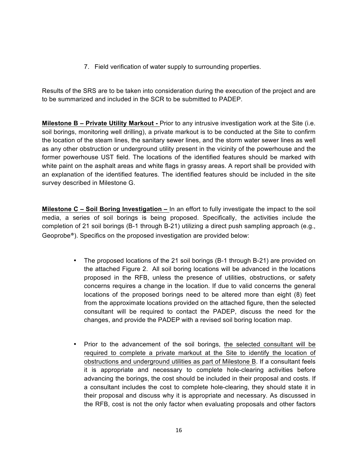7. Field verification of water supply to surrounding properties.

Results of the SRS are to be taken into consideration during the execution of the project and are to be summarized and included in the SCR to be submitted to PADEP.

**Milestone B – Private Utility Markout -** Prior to any intrusive investigation work at the Site (i.e. soil borings, monitoring well drilling), a private markout is to be conducted at the Site to confirm the location of the steam lines, the sanitary sewer lines, and the storm water sewer lines as well as any other obstruction or underground utility present in the vicinity of the powerhouse and the former powerhouse UST field. The locations of the identified features should be marked with white paint on the asphalt areas and white flags in grassy areas. A report shall be provided with an explanation of the identified features. The identified features should be included in the site survey described in Milestone G.

**Milestone C – Soil Boring Investigation –** In an effort to fully investigate the impact to the soil media, a series of soil borings is being proposed. Specifically, the activities include the completion of 21 soil borings (B-1 through B-21) utilizing a direct push sampling approach (e.g., Geoprobe®). Specifics on the proposed investigation are provided below:

- The proposed locations of the 21 soil borings (B-1 through B-21) are provided on the attached Figure 2. All soil boring locations will be advanced in the locations proposed in the RFB, unless the presence of utilities, obstructions, or safety concerns requires a change in the location. If due to valid concerns the general locations of the proposed borings need to be altered more than eight (8) feet from the approximate locations provided on the attached figure, then the selected consultant will be required to contact the PADEP, discuss the need for the changes, and provide the PADEP with a revised soil boring location map.
- Prior to the advancement of the soil borings, the selected consultant will be required to complete a private markout at the Site to identify the location of obstructions and underground utilities as part of Milestone B. If a consultant feels it is appropriate and necessary to complete hole-clearing activities before advancing the borings, the cost should be included in their proposal and costs. If a consultant includes the cost to complete hole-clearing, they should state it in their proposal and discuss why it is appropriate and necessary. As discussed in the RFB, cost is not the only factor when evaluating proposals and other factors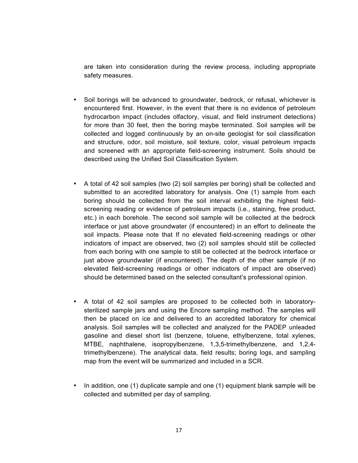are taken into consideration during the review process, including appropriate safety measures.

- Soil borings will be advanced to groundwater, bedrock, or refusal, whichever is encountered first. However, in the event that there is no evidence of petroleum hydrocarbon impact (includes olfactory, visual, and field instrument detections) for more than 30 feet, then the boring maybe terminated. Soil samples will be collected and logged continuously by an on-site geologist for soil classification and structure, odor, soil moisture, soil texture, color, visual petroleum impacts and screened with an appropriate field-screening instrument. Soils should be described using the Unified Soil Classification System.
- A total of 42 soil samples (two (2) soil samples per boring) shall be collected and submitted to an accredited laboratory for analysis. One (1) sample from each boring should be collected from the soil interval exhibiting the highest fieldscreening reading or evidence of petroleum impacts (i.e., staining, free product, etc.) in each borehole. The second soil sample will be collected at the bedrock interface or just above groundwater (if encountered) in an effort to delineate the soil impacts. Please note that If no elevated field-screening readings or other indicators of impact are observed, two (2) soil samples should still be collected from each boring with one sample to still be collected at the bedrock interface or just above groundwater (if encountered). The depth of the other sample (if no elevated field-screening readings or other indicators of impact are observed) should be determined based on the selected consultant's professional opinion.
- A total of 42 soil samples are proposed to be collected both in laboratorysterilized sample jars and using the Encore sampling method. The samples will then be placed on ice and delivered to an accredited laboratory for chemical analysis. Soil samples will be collected and analyzed for the PADEP unleaded gasoline and diesel short list (benzene, toluene, ethylbenzene, total xylenes, MTBE, naphthalene, isopropylbenzene, 1,3,5-trimethylbenzene, and 1,2,4 trimethylbenzene). The analytical data, field results; boring logs, and sampling map from the event will be summarized and included in a SCR.
- In addition, one (1) duplicate sample and one (1) equipment blank sample will be collected and submitted per day of sampling.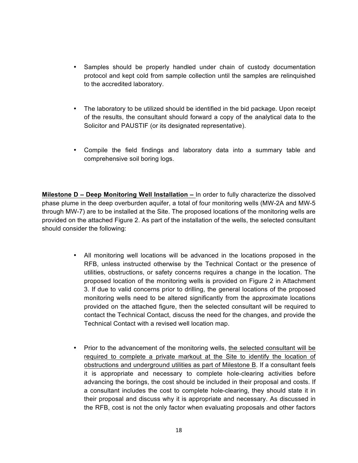- Samples should be properly handled under chain of custody documentation protocol and kept cold from sample collection until the samples are relinquished to the accredited laboratory.
- The laboratory to be utilized should be identified in the bid package. Upon receipt of the results, the consultant should forward a copy of the analytical data to the Solicitor and PAUSTIF (or its designated representative).
- Compile the field findings and laboratory data into a summary table and comprehensive soil boring logs.

**Milestone D – Deep Monitoring Well Installation –** In order to fully characterize the dissolved phase plume in the deep overburden aquifer, a total of four monitoring wells (MW-2A and MW-5 through MW-7) are to be installed at the Site. The proposed locations of the monitoring wells are provided on the attached Figure 2. As part of the installation of the wells, the selected consultant should consider the following:

- All monitoring well locations will be advanced in the locations proposed in the RFB, unless instructed otherwise by the Technical Contact or the presence of utilities, obstructions, or safety concerns requires a change in the location. The proposed location of the monitoring wells is provided on Figure 2 in Attachment 3. If due to valid concerns prior to drilling, the general locations of the proposed monitoring wells need to be altered significantly from the approximate locations provided on the attached figure, then the selected consultant will be required to contact the Technical Contact, discuss the need for the changes, and provide the Technical Contact with a revised well location map.
- Prior to the advancement of the monitoring wells, the selected consultant will be required to complete a private markout at the Site to identify the location of obstructions and underground utilities as part of Milestone B. If a consultant feels it is appropriate and necessary to complete hole-clearing activities before advancing the borings, the cost should be included in their proposal and costs. If a consultant includes the cost to complete hole-clearing, they should state it in their proposal and discuss why it is appropriate and necessary. As discussed in the RFB, cost is not the only factor when evaluating proposals and other factors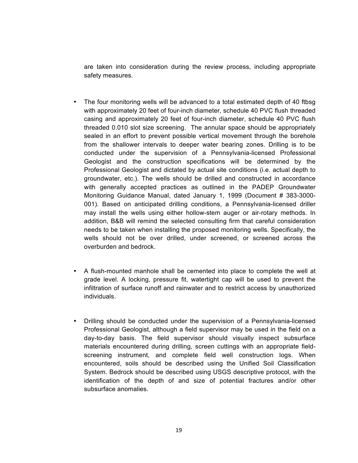are taken into consideration during the review process, including appropriate safety measures.

- The four monitoring wells will be advanced to a total estimated depth of 40 ftbsg with approximately 20 feet of four-inch diameter, schedule 40 PVC flush threaded casing and approximately 20 feet of four-inch diameter, schedule 40 PVC flush threaded 0.010 slot size screening. The annular space should be appropriately sealed in an effort to prevent possible vertical movement through the borehole from the shallower intervals to deeper water bearing zones. Drilling is to be conducted under the supervision of a Pennsylvania-licensed Professional Geologist and the construction specifications will be determined by the Professional Geologist and dictated by actual site conditions (i.e. actual depth to groundwater, etc.). The wells should be drilled and constructed in accordance with generally accepted practices as outlined in the PADEP Groundwater Monitoring Guidance Manual, dated January 1, 1999 (Document # 383-3000- 001). Based on anticipated drilling conditions, a Pennsylvania-licensed driller may install the wells using either hollow-stem auger or air-rotary methods. In addition, B&B will remind the selected consulting firm that careful consideration needs to be taken when installing the proposed monitoring wells. Specifically, the wells should not be over drilled, under screened, or screened across the overburden and bedrock.
- A flush-mounted manhole shall be cemented into place to complete the well at grade level. A locking, pressure fit, watertight cap will be used to prevent the infiltration of surface runoff and rainwater and to restrict access by unauthorized individuals.
- Drilling should be conducted under the supervision of a Pennsylvania-licensed Professional Geologist, although a field supervisor may be used in the field on a day-to-day basis. The field supervisor should visually inspect subsurface materials encountered during drilling, screen cuttings with an appropriate fieldscreening instrument, and complete field well construction logs. When encountered, soils should be described using the Unified Soil Classification System. Bedrock should be described using USGS descriptive protocol, with the identification of the depth of and size of potential fractures and/or other subsurface anomalies.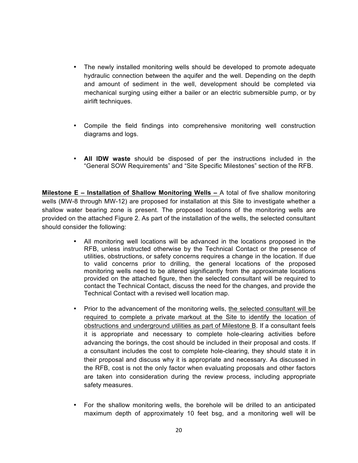- The newly installed monitoring wells should be developed to promote adequate hydraulic connection between the aquifer and the well. Depending on the depth and amount of sediment in the well, development should be completed via mechanical surging using either a bailer or an electric submersible pump, or by airlift techniques.
- Compile the field findings into comprehensive monitoring well construction diagrams and logs.
- **All IDW waste** should be disposed of per the instructions included in the "General SOW Requirements" and "Site Specific Milestones" section of the RFB.

**Milestone E – Installation of Shallow Monitoring Wells –** A total of five shallow monitoring wells (MW-8 through MW-12) are proposed for installation at this Site to investigate whether a shallow water bearing zone is present. The proposed locations of the monitoring wells are provided on the attached Figure 2. As part of the installation of the wells, the selected consultant should consider the following:

- All monitoring well locations will be advanced in the locations proposed in the RFB, unless instructed otherwise by the Technical Contact or the presence of utilities, obstructions, or safety concerns requires a change in the location. If due to valid concerns prior to drilling, the general locations of the proposed monitoring wells need to be altered significantly from the approximate locations provided on the attached figure, then the selected consultant will be required to contact the Technical Contact, discuss the need for the changes, and provide the Technical Contact with a revised well location map.
- Prior to the advancement of the monitoring wells, the selected consultant will be required to complete a private markout at the Site to identify the location of obstructions and underground utilities as part of Milestone B. If a consultant feels it is appropriate and necessary to complete hole-clearing activities before advancing the borings, the cost should be included in their proposal and costs. If a consultant includes the cost to complete hole-clearing, they should state it in their proposal and discuss why it is appropriate and necessary. As discussed in the RFB, cost is not the only factor when evaluating proposals and other factors are taken into consideration during the review process, including appropriate safety measures.
- For the shallow monitoring wells, the borehole will be drilled to an anticipated maximum depth of approximately 10 feet bsg, and a monitoring well will be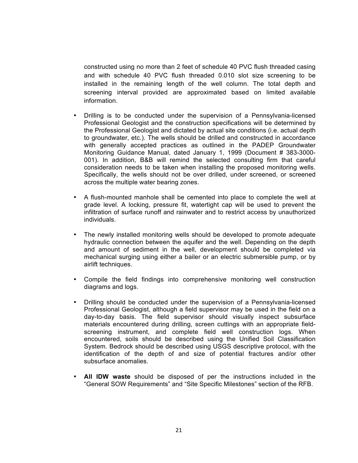constructed using no more than 2 feet of schedule 40 PVC flush threaded casing and with schedule 40 PVC flush threaded 0.010 slot size screening to be installed in the remaining length of the well column. The total depth and screening interval provided are approximated based on limited available information.

- Drilling is to be conducted under the supervision of a Pennsylvania-licensed Professional Geologist and the construction specifications will be determined by the Professional Geologist and dictated by actual site conditions (i.e. actual depth to groundwater, etc.). The wells should be drilled and constructed in accordance with generally accepted practices as outlined in the PADEP Groundwater Monitoring Guidance Manual, dated January 1, 1999 (Document # 383-3000- 001). In addition, B&B will remind the selected consulting firm that careful consideration needs to be taken when installing the proposed monitoring wells. Specifically, the wells should not be over drilled, under screened, or screened across the multiple water bearing zones.
- A flush-mounted manhole shall be cemented into place to complete the well at grade level. A locking, pressure fit, watertight cap will be used to prevent the infiltration of surface runoff and rainwater and to restrict access by unauthorized individuals.
- The newly installed monitoring wells should be developed to promote adequate hydraulic connection between the aquifer and the well. Depending on the depth and amount of sediment in the well, development should be completed via mechanical surging using either a bailer or an electric submersible pump, or by airlift techniques.
- Compile the field findings into comprehensive monitoring well construction diagrams and logs.
- Drilling should be conducted under the supervision of a Pennsylvania-licensed Professional Geologist, although a field supervisor may be used in the field on a day-to-day basis. The field supervisor should visually inspect subsurface materials encountered during drilling, screen cuttings with an appropriate fieldscreening instrument, and complete field well construction logs. When encountered, soils should be described using the Unified Soil Classification System. Bedrock should be described using USGS descriptive protocol, with the identification of the depth of and size of potential fractures and/or other subsurface anomalies.
- **All IDW waste** should be disposed of per the instructions included in the "General SOW Requirements" and "Site Specific Milestones" section of the RFB.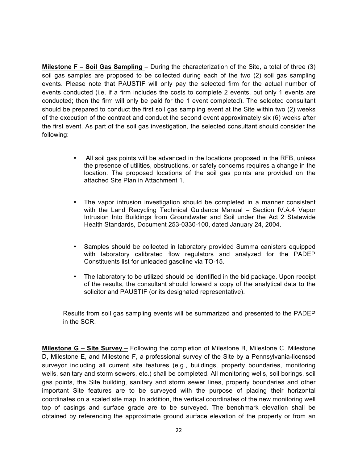**Milestone F – Soil Gas Sampling** – During the characterization of the Site, a total of three (3) soil gas samples are proposed to be collected during each of the two (2) soil gas sampling events. Please note that PAUSTIF will only pay the selected firm for the actual number of events conducted (i.e. if a firm includes the costs to complete 2 events, but only 1 events are conducted; then the firm will only be paid for the 1 event completed). The selected consultant should be prepared to conduct the first soil gas sampling event at the Site within two (2) weeks of the execution of the contract and conduct the second event approximately six (6) weeks after the first event. As part of the soil gas investigation, the selected consultant should consider the following:

- All soil gas points will be advanced in the locations proposed in the RFB, unless the presence of utilities, obstructions, or safety concerns requires a change in the location. The proposed locations of the soil gas points are provided on the attached Site Plan in Attachment 1.
- The vapor intrusion investigation should be completed in a manner consistent with the Land Recycling Technical Guidance Manual – Section IV.A.4 Vapor Intrusion Into Buildings from Groundwater and Soil under the Act 2 Statewide Health Standards, Document 253-0330-100, dated January 24, 2004.
- Samples should be collected in laboratory provided Summa canisters equipped with laboratory calibrated flow regulators and analyzed for the PADEP Constituents list for unleaded gasoline via TO-15.
- The laboratory to be utilized should be identified in the bid package. Upon receipt of the results, the consultant should forward a copy of the analytical data to the solicitor and PAUSTIF (or its designated representative).

Results from soil gas sampling events will be summarized and presented to the PADEP in the SCR.

**Milestone G – Site Survey –** Following the completion of Milestone B, Milestone C, Milestone D, Milestone E, and Milestone F, a professional survey of the Site by a Pennsylvania-licensed surveyor including all current site features (e.g., buildings, property boundaries, monitoring wells, sanitary and storm sewers, etc.) shall be completed. All monitoring wells, soil borings, soil gas points, the Site building, sanitary and storm sewer lines, property boundaries and other important Site features are to be surveyed with the purpose of placing their horizontal coordinates on a scaled site map. In addition, the vertical coordinates of the new monitoring well top of casings and surface grade are to be surveyed. The benchmark elevation shall be obtained by referencing the approximate ground surface elevation of the property or from an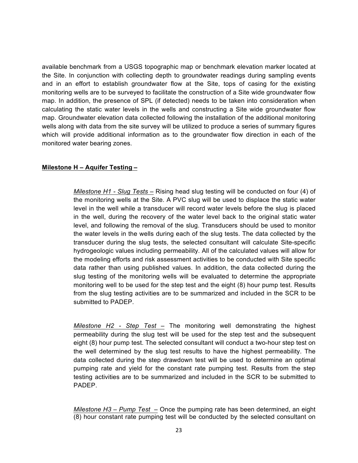available benchmark from a USGS topographic map or benchmark elevation marker located at the Site. In conjunction with collecting depth to groundwater readings during sampling events and in an effort to establish groundwater flow at the Site, tops of casing for the existing monitoring wells are to be surveyed to facilitate the construction of a Site wide groundwater flow map. In addition, the presence of SPL (if detected) needs to be taken into consideration when calculating the static water levels in the wells and constructing a Site wide groundwater flow map. Groundwater elevation data collected following the installation of the additional monitoring wells along with data from the site survey will be utilized to produce a series of summary figures which will provide additional information as to the groundwater flow direction in each of the monitored water bearing zones.

### **Milestone H – Aquifer Testing –**

*Milestone H1 - Slug Tests –* Rising head slug testing will be conducted on four (4) of the monitoring wells at the Site. A PVC slug will be used to displace the static water level in the well while a transducer will record water levels before the slug is placed in the well, during the recovery of the water level back to the original static water level, and following the removal of the slug. Transducers should be used to monitor the water levels in the wells during each of the slug tests. The data collected by the transducer during the slug tests, the selected consultant will calculate Site-specific hydrogeologic values including permeability. All of the calculated values will allow for the modeling efforts and risk assessment activities to be conducted with Site specific data rather than using published values. In addition, the data collected during the slug testing of the monitoring wells will be evaluated to determine the appropriate monitoring well to be used for the step test and the eight (8) hour pump test. Results from the slug testing activities are to be summarized and included in the SCR to be submitted to PADEP.

*Milestone H2 - Step Test –* The monitoring well demonstrating the highest permeability during the slug test will be used for the step test and the subsequent eight (8) hour pump test. The selected consultant will conduct a two-hour step test on the well determined by the slug test results to have the highest permeability. The data collected during the step drawdown test will be used to determine an optimal pumping rate and yield for the constant rate pumping test. Results from the step testing activities are to be summarized and included in the SCR to be submitted to PADEP.

*Milestone H3 – Pump Test –* Once the pumping rate has been determined, an eight (8) hour constant rate pumping test will be conducted by the selected consultant on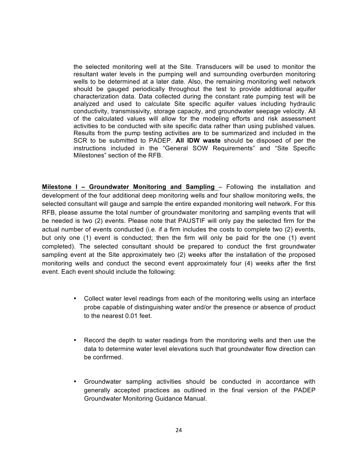the selected monitoring well at the Site. Transducers will be used to monitor the resultant water levels in the pumping well and surrounding overburden monitoring wells to be determined at a later date. Also, the remaining monitoring well network should be gauged periodically throughout the test to provide additional aquifer characterization data. Data collected during the constant rate pumping test will be analyzed and used to calculate Site specific aquifer values including hydraulic conductivity, transmissivity, storage capacity, and groundwater seepage velocity. All of the calculated values will allow for the modeling efforts and risk assessment activities to be conducted with site specific data rather than using published values. Results from the pump testing activities are to be summarized and included in the SCR to be submitted to PADEP. **All IDW waste** should be disposed of per the instructions included in the "General SOW Requirements" and "Site Specific Milestones" section of the RFB.

**Milestone I – Groundwater Monitoring and Sampling** – Following the installation and development of the four additional deep monitoring wells and four shallow monitoring wells, the selected consultant will gauge and sample the entire expanded monitoring well network. For this RFB, please assume the total number of groundwater monitoring and sampling events that will be needed is two (2) events. Please note that PAUSTIF will only pay the selected firm for the actual number of events conducted (i.e. if a firm includes the costs to complete two (2) events, but only one (1) event is conducted; then the firm will only be paid for the one (1) event completed). The selected consultant should be prepared to conduct the first groundwater sampling event at the Site approximately two (2) weeks after the installation of the proposed monitoring wells and conduct the second event approximately four (4) weeks after the first event. Each event should include the following:

- Collect water level readings from each of the monitoring wells using an interface probe capable of distinguishing water and/or the presence or absence of product to the nearest 0.01 feet.
- Record the depth to water readings from the monitoring wells and then use the data to determine water level elevations such that groundwater flow direction can be confirmed.
- Groundwater sampling activities should be conducted in accordance with generally accepted practices as outlined in the final version of the PADEP Groundwater Monitoring Guidance Manual.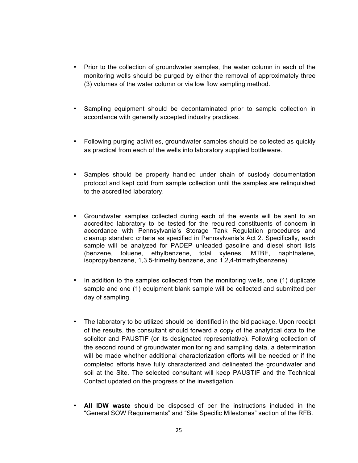- Prior to the collection of groundwater samples, the water column in each of the monitoring wells should be purged by either the removal of approximately three (3) volumes of the water column or via low flow sampling method.
- Sampling equipment should be decontaminated prior to sample collection in accordance with generally accepted industry practices.
- Following purging activities, groundwater samples should be collected as quickly as practical from each of the wells into laboratory supplied bottleware.
- Samples should be properly handled under chain of custody documentation protocol and kept cold from sample collection until the samples are relinquished to the accredited laboratory.
- Groundwater samples collected during each of the events will be sent to an accredited laboratory to be tested for the required constituents of concern in accordance with Pennsylvania's Storage Tank Regulation procedures and cleanup standard criteria as specified in Pennsylvania's Act 2. Specifically, each sample will be analyzed for PADEP unleaded gasoline and diesel short lists (benzene, toluene, ethylbenzene, total xylenes, MTBE, naphthalene, isopropylbenzene, 1,3,5-trimethylbenzene, and 1,2,4-trimethylbenzene).
- In addition to the samples collected from the monitoring wells, one (1) duplicate sample and one (1) equipment blank sample will be collected and submitted per day of sampling.
- The laboratory to be utilized should be identified in the bid package. Upon receipt of the results, the consultant should forward a copy of the analytical data to the solicitor and PAUSTIF (or its designated representative). Following collection of the second round of groundwater monitoring and sampling data, a determination will be made whether additional characterization efforts will be needed or if the completed efforts have fully characterized and delineated the groundwater and soil at the Site. The selected consultant will keep PAUSTIF and the Technical Contact updated on the progress of the investigation.
- **All IDW waste** should be disposed of per the instructions included in the "General SOW Requirements" and "Site Specific Milestones" section of the RFB.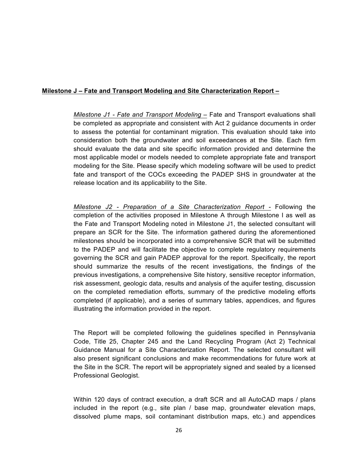### **Milestone J – Fate and Transport Modeling and Site Characterization Report –**

*Milestone J1 - Fate and Transport Modeling –* Fate and Transport evaluations shall be completed as appropriate and consistent with Act 2 guidance documents in order to assess the potential for contaminant migration. This evaluation should take into consideration both the groundwater and soil exceedances at the Site. Each firm should evaluate the data and site specific information provided and determine the most applicable model or models needed to complete appropriate fate and transport modeling for the Site. Please specify which modeling software will be used to predict fate and transport of the COCs exceeding the PADEP SHS in groundwater at the release location and its applicability to the Site.

*Milestone J2 - Preparation of a Site Characterization Report -* Following the completion of the activities proposed in Milestone A through Milestone I as well as the Fate and Transport Modeling noted in Milestone J1, the selected consultant will prepare an SCR for the Site. The information gathered during the aforementioned milestones should be incorporated into a comprehensive SCR that will be submitted to the PADEP and will facilitate the objective to complete regulatory requirements governing the SCR and gain PADEP approval for the report. Specifically, the report should summarize the results of the recent investigations, the findings of the previous investigations, a comprehensive Site history, sensitive receptor information, risk assessment, geologic data, results and analysis of the aquifer testing, discussion on the completed remediation efforts, summary of the predictive modeling efforts completed (if applicable), and a series of summary tables, appendices, and figures illustrating the information provided in the report.

The Report will be completed following the guidelines specified in Pennsylvania Code, Title 25, Chapter 245 and the Land Recycling Program (Act 2) Technical Guidance Manual for a Site Characterization Report. The selected consultant will also present significant conclusions and make recommendations for future work at the Site in the SCR. The report will be appropriately signed and sealed by a licensed Professional Geologist.

Within 120 days of contract execution, a draft SCR and all AutoCAD maps / plans included in the report (e.g., site plan / base map, groundwater elevation maps, dissolved plume maps, soil contaminant distribution maps, etc.) and appendices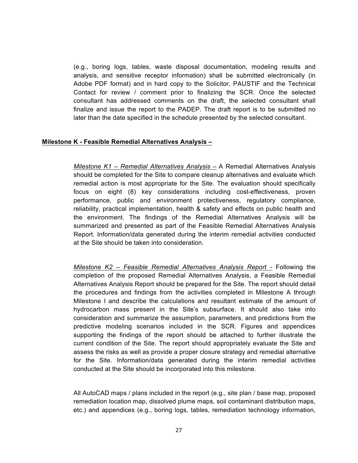(e.g., boring logs, tables, waste disposal documentation, modeling results and analysis, and sensitive receptor information) shall be submitted electronically (in Adobe PDF format) and in hard copy to the Solicitor, PAUSTIF and the Technical Contact for review / comment prior to finalizing the SCR. Once the selected consultant has addressed comments on the draft, the selected consultant shall finalize and issue the report to the PADEP. The draft report is to be submitted no later than the date specified in the schedule presented by the selected consultant.

#### **Milestone K - Feasible Remedial Alternatives Analysis –**

*Milestone K1 – Remedial Alternatives Analysis –* A Remedial Alternatives Analysis should be completed for the Site to compare cleanup alternatives and evaluate which remedial action is most appropriate for the Site. The evaluation should specifically focus on eight (8) key considerations including cost-effectiveness, proven performance, public and environment protectiveness, regulatory compliance, reliability, practical implementation, health & safety and effects on public health and the environment. The findings of the Remedial Alternatives Analysis will be summarized and presented as part of the Feasible Remedial Alternatives Analysis Report. Information/data generated during the interim remedial activities conducted at the Site should be taken into consideration.

*Milestone K2 – Feasible Remedial Alternatives Analysis Report -* Following the completion of the proposed Remedial Alternatives Analysis, a Feasible Remedial Alternatives Analysis Report should be prepared for the Site. The report should detail the procedures and findings from the activities completed in Milestone A through Milestone I and describe the calculations and resultant estimate of the amount of hydrocarbon mass present in the Site's subsurface. It should also take into consideration and summarize the assumption, parameters, and predictions from the predictive modeling scenarios included in the SCR. Figures and appendices supporting the findings of the report should be attached to further illustrate the current condition of the Site. The report should appropriately evaluate the Site and assess the risks as well as provide a proper closure strategy and remedial alternative for the Site. Information/data generated during the interim remedial activities conducted at the Site should be incorporated into this milestone.

All AutoCAD maps / plans included in the report (e.g., site plan / base map, proposed remediation location map, dissolved plume maps, soil contaminant distribution maps, etc.) and appendices (e.g., boring logs, tables, remediation technology information,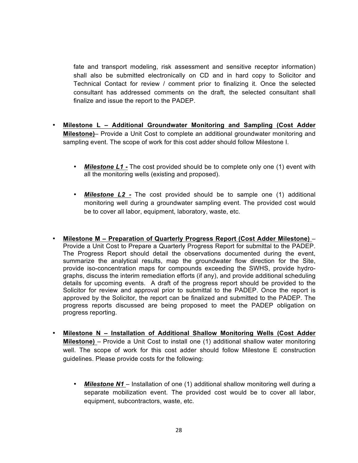fate and transport modeling, risk assessment and sensitive receptor information) shall also be submitted electronically on CD and in hard copy to Solicitor and Technical Contact for review / comment prior to finalizing it. Once the selected consultant has addressed comments on the draft, the selected consultant shall finalize and issue the report to the PADEP.

- **Milestone L – Additional Groundwater Monitoring and Sampling (Cost Adder Milestone)**– Provide a Unit Cost to complete an additional groundwater monitoring and sampling event. The scope of work for this cost adder should follow Milestone I.
	- *Milestone L1 -* The cost provided should be to complete only one (1) event with all the monitoring wells (existing and proposed).
	- *Milestone L2 -* The cost provided should be to sample one (1) additional monitoring well during a groundwater sampling event. The provided cost would be to cover all labor, equipment, laboratory, waste, etc.
- **Milestone M – Preparation of Quarterly Progress Report (Cost Adder Milestone)** Provide a Unit Cost to Prepare a Quarterly Progress Report for submittal to the PADEP. The Progress Report should detail the observations documented during the event, summarize the analytical results, map the groundwater flow direction for the Site, provide iso-concentration maps for compounds exceeding the SWHS, provide hydrographs, discuss the interim remediation efforts (if any), and provide additional scheduling details for upcoming events. A draft of the progress report should be provided to the Solicitor for review and approval prior to submittal to the PADEP. Once the report is approved by the Solicitor, the report can be finalized and submitted to the PADEP. The progress reports discussed are being proposed to meet the PADEP obligation on progress reporting.
- **Milestone N – Installation of Additional Shallow Monitoring Wells (Cost Adder Milestone)** – Provide a Unit Cost to install one (1) additional shallow water monitoring well. The scope of work for this cost adder should follow Milestone E construction guidelines. Please provide costs for the following:
	- *Milestone N1* Installation of one (1) additional shallow monitoring well during a separate mobilization event. The provided cost would be to cover all labor, equipment, subcontractors, waste, etc.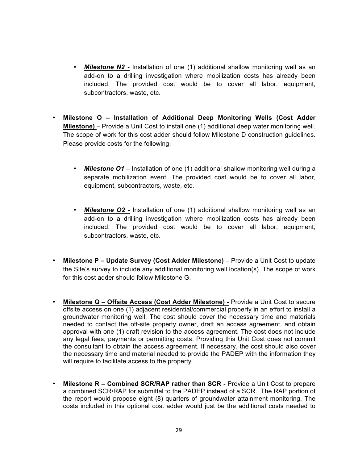- *Milestone N2 -* Installation of one (1) additional shallow monitoring well as an add-on to a drilling investigation where mobilization costs has already been included. The provided cost would be to cover all labor, equipment, subcontractors, waste, etc.
- **Milestone O – Installation of Additional Deep Monitoring Wells (Cost Adder Milestone)** – Provide a Unit Cost to install one (1) additional deep water monitoring well. The scope of work for this cost adder should follow Milestone D construction guidelines. Please provide costs for the following:
	- *Milestone O1*  Installation of one (1) additional shallow monitoring well during a separate mobilization event. The provided cost would be to cover all labor, equipment, subcontractors, waste, etc.
	- *Milestone O2 -* Installation of one (1) additional shallow monitoring well as an add-on to a drilling investigation where mobilization costs has already been included. The provided cost would be to cover all labor, equipment, subcontractors, waste, etc.
- **Milestone P – Update Survey (Cost Adder Milestone)**  Provide a Unit Cost to update the Site's survey to include any additional monitoring well location(s). The scope of work for this cost adder should follow Milestone G.
- **Milestone Q – Offsite Access (Cost Adder Milestone) -** Provide a Unit Cost to secure offsite access on one (1) adjacent residential/commercial property in an effort to install a groundwater monitoring well. The cost should cover the necessary time and materials needed to contact the off-site property owner, draft an access agreement, and obtain approval with one (1) draft revision to the access agreement. The cost does not include any legal fees, payments or permitting costs. Providing this Unit Cost does not commit the consultant to obtain the access agreement. If necessary, the cost should also cover the necessary time and material needed to provide the PADEP with the information they will require to facilitate access to the property.
- **Milestone R – Combined SCR/RAP rather than SCR -** Provide a Unit Cost to prepare a combined SCR/RAP for submittal to the PADEP instead of a SCR. The RAP portion of the report would propose eight (8) quarters of groundwater attainment monitoring. The costs included in this optional cost adder would just be the additional costs needed to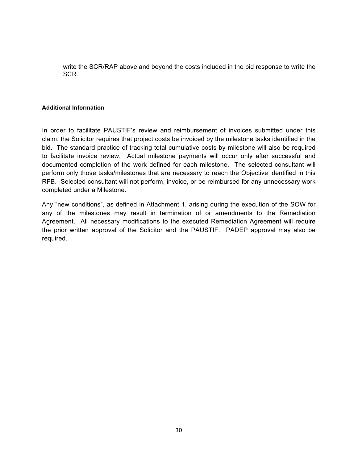write the SCR/RAP above and beyond the costs included in the bid response to write the SCR.

#### **Additional Information**

In order to facilitate PAUSTIF's review and reimbursement of invoices submitted under this claim, the Solicitor requires that project costs be invoiced by the milestone tasks identified in the bid. The standard practice of tracking total cumulative costs by milestone will also be required to facilitate invoice review. Actual milestone payments will occur only after successful and documented completion of the work defined for each milestone. The selected consultant will perform only those tasks/milestones that are necessary to reach the Objective identified in this RFB. Selected consultant will not perform, invoice, or be reimbursed for any unnecessary work completed under a Milestone.

Any "new conditions", as defined in Attachment 1, arising during the execution of the SOW for any of the milestones may result in termination of or amendments to the Remediation Agreement. All necessary modifications to the executed Remediation Agreement will require the prior written approval of the Solicitor and the PAUSTIF. PADEP approval may also be required.